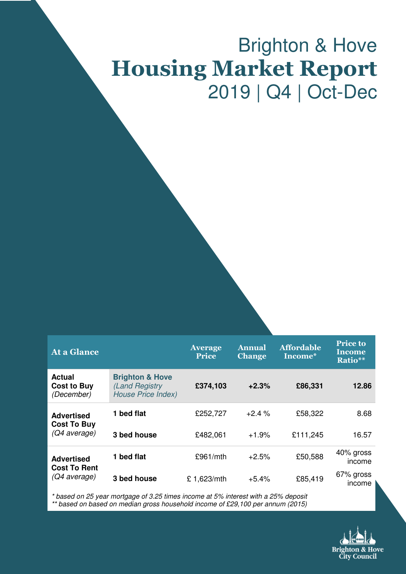# Brighton & Hove Housing Market Report 2019 | Q4 | Oct-Dec

| At a Glance                                              |                                                                           | <b>Average</b><br><b>Price</b> | <b>Annual</b><br><b>Change</b> | <b>Affordable</b><br>Income* | <b>Price to</b><br>Income<br>Ratio** |
|----------------------------------------------------------|---------------------------------------------------------------------------|--------------------------------|--------------------------------|------------------------------|--------------------------------------|
| <b>Actual</b><br><b>Cost to Buy</b><br>(December)        | <b>Brighton &amp; Hove</b><br>(Land Registry<br><b>House Price Index)</b> | £374,103                       | $+2.3%$                        | £86,331                      | 12.86                                |
| <b>Advertised</b><br><b>Cost To Buy</b><br>(Q4 average)  | 1 bed flat                                                                | £252,727                       | $+2.4%$                        | £58,322                      | 8.68                                 |
|                                                          | 3 bed house                                                               | £482,061                       | $+1.9%$                        | £111,245                     | 16.57                                |
| <b>Advertised</b><br><b>Cost To Rent</b><br>(Q4 average) | 1 bed flat                                                                | £961/mth                       | $+2.5%$                        | £50,588                      | 40% gross<br>income                  |
|                                                          | 3 bed house                                                               | £1,623/mth                     | $+5.4%$                        | £85,419                      | 67% gross<br>income                  |

\* based on 25 year mortgage of 3.25 times income at 5% interest with a 25% deposit \*\* based on based on median gross household income of £29,100 per annum (2015)

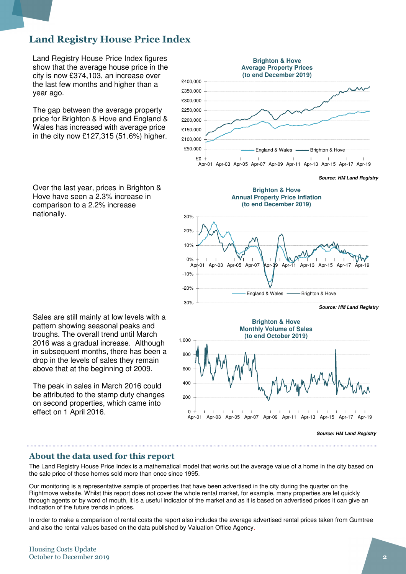### Land Registry House Price Index

Land Registry House Price Index figures show that the average house price in the city is now £374,103, an increase over the last few months and higher than a year ago.

The gap between the average property price for Brighton & Hove and England & Wales has increased with average price in the city now £127,315 (51.6%) higher.

Over the last year, prices in Brighton & Hove have seen a 2.3% increase in comparison to a 2.2% increase nationally.

Sales are still mainly at low levels with a pattern showing seasonal peaks and troughs. The overall trend until March 2016 was a gradual increase. Although in subsequent months, there has been a drop in the levels of sales they remain above that at the beginning of 2009.

The peak in sales in March 2016 could be attributed to the stamp duty changes on second properties, which came into effect on 1 April 2016.



**Source: HM Land Registry**





**Source: HM Land Registry**

### About the data used for this report

The Land Registry House Price Index is a mathematical model that works out the average value of a home in the city based on the sale price of those homes sold more than once since 1995.

Our monitoring is a representative sample of properties that have been advertised in the city during the quarter on the Rightmove website. Whilst this report does not cover the whole rental market, for example, many properties are let quickly through agents or by word of mouth, it is a useful indicator of the market and as it is based on advertised prices it can give an indication of the future trends in prices.

In order to make a comparison of rental costs the report also includes the average advertised rental prices taken from Gumtree and also the rental values based on the data published by Valuation Office Agency.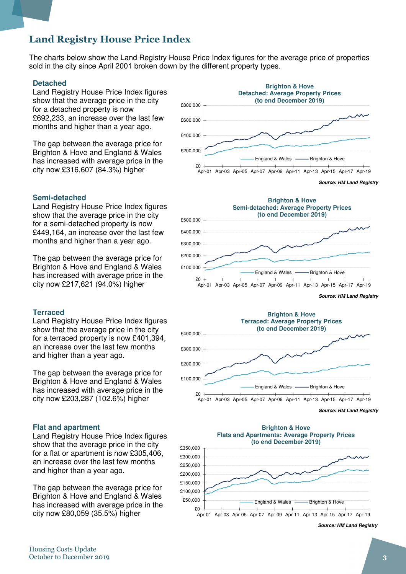### Land Registry House Price Index

The charts below show the Land Registry House Price Index figures for the average price of properties sold in the city since April 2001 broken down by the different property types.

#### **Detached**

Land Registry House Price Index figures show that the average price in the city for a detached property is now £692,233, an increase over the last few months and higher than a year ago.

The gap between the average price for Brighton & Hove and England & Wales has increased with average price in the city now £316,607 (84.3%) higher

### £0 £200,000 £400,000 £600,000 £800,000 Apr-01 Apr-03 Apr-05 Apr-07 Apr-09 Apr-11 Apr-13 Apr-15 Apr-17 Apr-19 **Brighton & Hove Detached: Average Property Prices (to end December 2019)** England & Wales **-** Brighton & Hove

Land Registry House Price Index figures show that the average price in the city for a semi-detached property is now £449,164, an increase over the last few months and higher than a year ago.

The gap between the average price for Brighton & Hove and England & Wales has increased with average price in the city now £217,621 (94.0%) higher

#### **Terraced**

Land Registry House Price Index figures show that the average price in the city for a terraced property is now £401,394, an increase over the last few months and higher than a year ago.

The gap between the average price for Brighton & Hove and England & Wales has increased with average price in the city now £203,287 (102.6%) higher

#### **Flat and apartment**

Land Registry House Price Index figures show that the average price in the city for a flat or apartment is now £305,406, an increase over the last few months and higher than a year ago.

The gap between the average price for Brighton & Hove and England & Wales has increased with average price in the city now £80,059 (35.5%) higher





**Source: HM Land Registry**



**Source: HM Land Registry**



**Source: HM Land Registry**

**Semi-detached**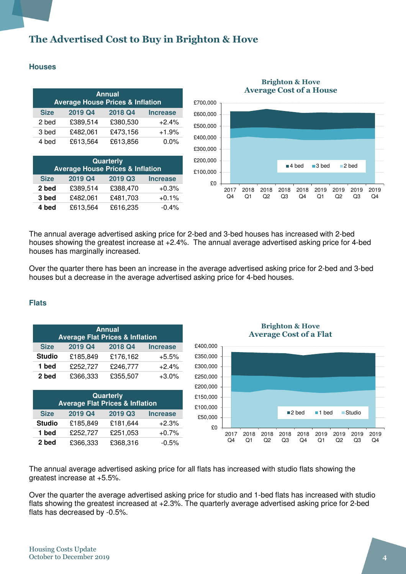### The Advertised Cost to Buy in Brighton & Hove

### **Houses**

| <b>Annual</b><br><b>Average House Prices &amp; Inflation</b> |          |          |                 |  |
|--------------------------------------------------------------|----------|----------|-----------------|--|
| <b>Size</b>                                                  | 2019 Q4  | 2018 Q4  | <b>Increase</b> |  |
| 2 bed                                                        | £389,514 | £380,530 | $+2.4%$         |  |
| 3 bed                                                        | £482,061 | £473,156 | $+1.9%$         |  |
| 4 bed                                                        | £613,564 | £613,856 | $0.0\%$         |  |

| Quarterly<br><b>Average House Prices &amp; Inflation</b> |          |          |                 |  |
|----------------------------------------------------------|----------|----------|-----------------|--|
| <b>Size</b>                                              | 2019 Q4  | 2019 Q3  | <b>Increase</b> |  |
| 2 bed                                                    | £389,514 | £388,470 | $+0.3%$         |  |
| 3 bed                                                    | £482,061 | £481,703 | $+0.1%$         |  |
| 4 bed                                                    | £613,564 | £616,235 | $-0.4%$         |  |



#### Brighton & Hove Average Cost of a House

The annual average advertised asking price for 2-bed and 3-bed houses has increased with 2-bed houses showing the greatest increase at +2.4%. The annual average advertised asking price for 4-bed houses has marginally increased.

Over the quarter there has been an increase in the average advertised asking price for 2-bed and 3-bed houses but a decrease in the average advertised asking price for 4-bed houses.

### **Flats**

| <b>Annual</b><br><b>Average Flat Prices &amp; Inflation</b> |          |          |                 |  |
|-------------------------------------------------------------|----------|----------|-----------------|--|
| <b>Size</b>                                                 | 2019 Q4  | 2018 Q4  | <b>Increase</b> |  |
| <b>Studio</b>                                               | £185,849 | £176,162 | $+5.5%$         |  |
| 1 bed                                                       | £252,727 | £246,777 | $+2.4%$         |  |
| 2 bed                                                       | £366,333 | £355,507 | $+3.0%$         |  |

| Quarterly<br><b>Average Flat Prices &amp; Inflation</b> |          |          |                 |  |
|---------------------------------------------------------|----------|----------|-----------------|--|
| <b>Size</b>                                             | 2019 Q4  | 2019 Q3  | <b>Increase</b> |  |
| <b>Studio</b>                                           | £185,849 | £181,644 | $+2.3%$         |  |
| 1 bed                                                   | £252,727 | £251,053 | $+0.7%$         |  |
| 2 bed                                                   | £366,333 | £368,316 | $-0.5%$         |  |

Brighton & Hove Average Cost of a Flat



The annual average advertised asking price for all flats has increased with studio flats showing the greatest increase at +5.5%.

Over the quarter the average advertised asking price for studio and 1-bed flats has increased with studio flats showing the greatest increased at +2.3%. The quarterly average advertised asking price for 2-bed flats has decreased by -0.5%.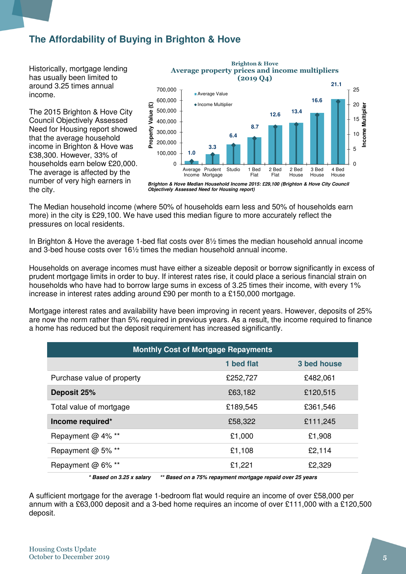### **The Affordability of Buying in Brighton & Hove**

Historically, mortgage lending has usually been limited to around 3.25 times annual income.

The 2015 Brighton & Hove City Council Objectively Assessed Need for Housing report showed that the average household income in Brighton & Hove was £38,300. However, 33% of households earn below £20,000. The average is affected by the number of very high earners in the city.



Brighton & Hove Average property prices and income multipliers

**Objectively Assessed Need for Housing report)**

The Median household income (where 50% of households earn less and 50% of households earn more) in the city is £29,100. We have used this median figure to more accurately reflect the pressures on local residents.

In Brighton & Hove the average 1-bed flat costs over 8½ times the median household annual income and 3-bed house costs over 16½ times the median household annual income.

Households on average incomes must have either a sizeable deposit or borrow significantly in excess of prudent mortgage limits in order to buy. If interest rates rise, it could place a serious financial strain on households who have had to borrow large sums in excess of 3.25 times their income, with every 1% increase in interest rates adding around £90 per month to a £150,000 mortgage.

Mortgage interest rates and availability have been improving in recent years. However, deposits of 25% are now the norm rather than 5% required in previous years. As a result, the income required to finance a home has reduced but the deposit requirement has increased significantly.

| <b>Monthly Cost of Mortgage Repayments</b>                                                  |            |             |  |  |  |
|---------------------------------------------------------------------------------------------|------------|-------------|--|--|--|
|                                                                                             | 1 bed flat | 3 bed house |  |  |  |
| Purchase value of property                                                                  | £252,727   | £482,061    |  |  |  |
| Deposit 25%                                                                                 | £63,182    | £120,515    |  |  |  |
| Total value of mortgage                                                                     | £189,545   | £361,546    |  |  |  |
| Income required*                                                                            | £58,322    | £111,245    |  |  |  |
| Repayment @ 4% **                                                                           | £1,000     | £1,908      |  |  |  |
| Repayment @ 5% **                                                                           | £1,108     | £2,114      |  |  |  |
| Repayment @ 6% **                                                                           | £1,221     | £2,329      |  |  |  |
| $*$ Recad on 2.25 v caloru<br>$*$ Record on a $75%$ renayment mertases repaid ever 25 vears |            |             |  |  |  |

**\* Based on 3.25 x salary \*\* Based on a 75% repayment mortgage repaid over 25 years** 

A sufficient mortgage for the average 1-bedroom flat would require an income of over £58,000 per annum with a £63,000 deposit and a 3-bed home requires an income of over £111,000 with a £120,500 deposit.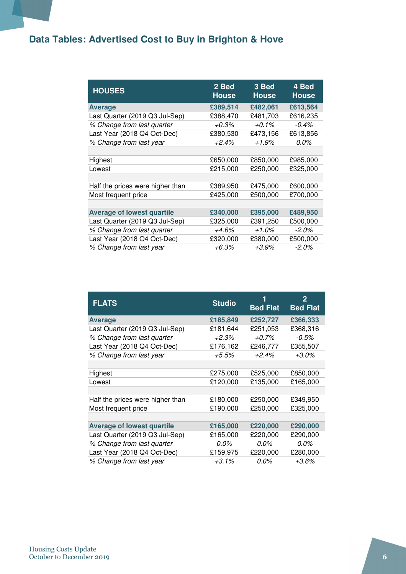## **Data Tables: Advertised Cost to Buy in Brighton & Hove**

| <b>HOUSES</b>                     | 2 Bed<br><b>House</b> | 3 Bed<br><b>House</b> | 4 Bed<br><b>House</b> |
|-----------------------------------|-----------------------|-----------------------|-----------------------|
| <b>Average</b>                    | £389,514              | £482,061              | £613,564              |
| Last Quarter (2019 Q3 Jul-Sep)    | £388,470              | £481,703              | £616,235              |
| % Change from last quarter        | $+0.3%$               | $+0.1%$               | $-0.4%$               |
| Last Year (2018 Q4 Oct-Dec)       | £380,530              | £473,156              | £613,856              |
| % Change from last year           | $+2.4%$               | $+1.9\%$              | 0.0%                  |
|                                   |                       |                       |                       |
| Highest                           | £650,000              | £850,000              | £985,000              |
| Lowest                            | £215,000              | £250,000              | £325,000              |
|                                   |                       |                       |                       |
| Half the prices were higher than  | £389,950              | £475,000              | £600,000              |
| Most frequent price               | £425,000              | £500,000              | £700,000              |
|                                   |                       |                       |                       |
| <b>Average of lowest quartile</b> | £340,000              | £395,000              | £489,950              |
| Last Quarter (2019 Q3 Jul-Sep)    | £325,000              | £391,250              | £500,000              |
| % Change from last quarter        | $+4.6%$               | $+1.0\%$              | $-2.0\%$              |
| Last Year (2018 Q4 Oct-Dec)       | £320,000              | £380,000              | £500,000              |
| % Change from last year           | $+6.3%$               | $+3.9\%$              | $-2.0\%$              |

| <b>FLATS</b>                      | <b>Studio</b> | 1<br><b>Bed Flat</b> | $\mathbf{2}$<br><b>Bed Flat</b> |
|-----------------------------------|---------------|----------------------|---------------------------------|
| <b>Average</b>                    | £185,849      | £252,727             | £366,333                        |
| Last Quarter (2019 Q3 Jul-Sep)    | £181,644      | £251,053             | £368,316                        |
| % Change from last quarter        | +2.3%         | $+0.7\%$             | $-0.5%$                         |
| Last Year (2018 Q4 Oct-Dec)       | £176,162      | £246,777             | £355,507                        |
| % Change from last year           | +5.5%         | $+2.4\%$             | $+3.0\%$                        |
|                                   |               |                      |                                 |
| Highest                           | £275,000      | £525,000             | £850,000                        |
| Lowest                            | £120,000      | £135,000             | £165,000                        |
|                                   |               |                      |                                 |
| Half the prices were higher than  | £180,000      | £250,000             | £349,950                        |
| Most frequent price               | £190,000      | £250,000             | £325,000                        |
|                                   |               |                      |                                 |
| <b>Average of lowest quartile</b> | £165,000      | £220,000             | £290,000                        |
| Last Quarter (2019 Q3 Jul-Sep)    | £165,000      | £220,000             | £290,000                        |
| % Change from last quarter        | 0.0%          | $0.0\%$              | 0.0%                            |
| Last Year (2018 Q4 Oct-Dec)       | £159,975      | £220,000             | £280,000                        |
| % Change from last year           | $+3.1%$       | $0.0\%$              | $+3.6\%$                        |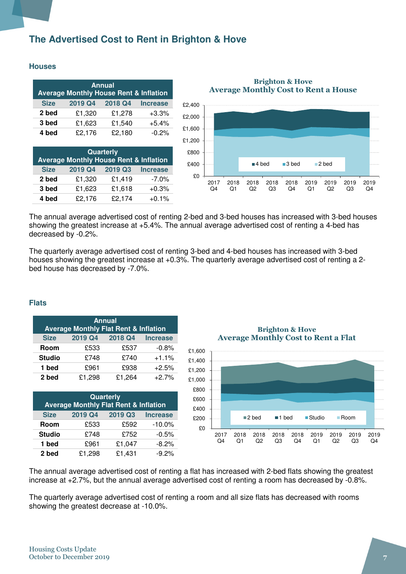### **The Advertised Cost to Rent in Brighton & Hove**

### **Houses**

| <b>Annual</b><br><b>Average Monthly House Rent &amp; Inflation</b> |         |         |                 |  |
|--------------------------------------------------------------------|---------|---------|-----------------|--|
| <b>Size</b>                                                        | 2019 Q4 | 2018 Q4 | <b>Increase</b> |  |
| 2 bed                                                              | £1,320  | £1,278  | $+3.3%$         |  |
| 3 bed                                                              | £1,623  | £1,540  | $+5.4%$         |  |
| 4 bed                                                              | £2,176  | £2,180  | $-0.2%$         |  |

| Quarterly<br><b>Average Monthly House Rent &amp; Inflation</b> |        |        |          |  |  |
|----------------------------------------------------------------|--------|--------|----------|--|--|
| 2019 Q4<br>2019 Q3<br><b>Size</b><br><b>Increase</b>           |        |        |          |  |  |
| 2 bed                                                          | £1,320 | £1,419 | $-7.0\%$ |  |  |
| 3 bed                                                          | £1,623 | £1,618 | $+0.3%$  |  |  |
| 4 bed                                                          | £2,176 | £2,174 | $+0.1%$  |  |  |

Brighton & Hove Average Monthly Cost to Rent a House



The annual average advertised cost of renting 2-bed and 3-bed houses has increased with 3-bed houses showing the greatest increase at +5.4%. The annual average advertised cost of renting a 4-bed has decreased by -0.2%.

The quarterly average advertised cost of renting 3-bed and 4-bed houses has increased with 3-bed houses showing the greatest increase at +0.3%. The quarterly average advertised cost of renting a 2 bed house has decreased by -7.0%.

### **Flats**

| <b>Annual</b><br><b>Average Monthly Flat Rent &amp; Inflation</b> |         |         |                 |  |  |
|-------------------------------------------------------------------|---------|---------|-----------------|--|--|
| <b>Size</b>                                                       | 2019 Q4 | 2018 Q4 | <b>Increase</b> |  |  |
| Room                                                              | £533    | £537    | $-0.8%$         |  |  |
| <b>Studio</b>                                                     | £748    | £740    | $+1.1%$         |  |  |
| 1 bed                                                             | £961    | £938    | $+2.5%$         |  |  |
| 2 bed                                                             | £1,298  | £1,264  | $+2.7%$         |  |  |

| Quarterly<br><b>Average Monthly Flat Rent &amp; Inflation</b> |         |         |                 |  |  |
|---------------------------------------------------------------|---------|---------|-----------------|--|--|
| <b>Size</b>                                                   | 2019 Q4 | 2019 Q3 | <b>Increase</b> |  |  |
| Room                                                          | £533    | £592    | $-10.0%$        |  |  |
| <b>Studio</b>                                                 | £748    | £752    | $-0.5%$         |  |  |
| 1 bed                                                         | £961    | £1,047  | $-8.2%$         |  |  |
| 2 bed                                                         | £1,298  | £1,431  | $-9.2%$         |  |  |

Brighton & Hove Average Monthly Cost to Rent a Flat



The annual average advertised cost of renting a flat has increased with 2-bed flats showing the greatest increase at +2.7%, but the annual average advertised cost of renting a room has decreased by -0.8%.

The quarterly average advertised cost of renting a room and all size flats has decreased with rooms showing the greatest decrease at -10.0%.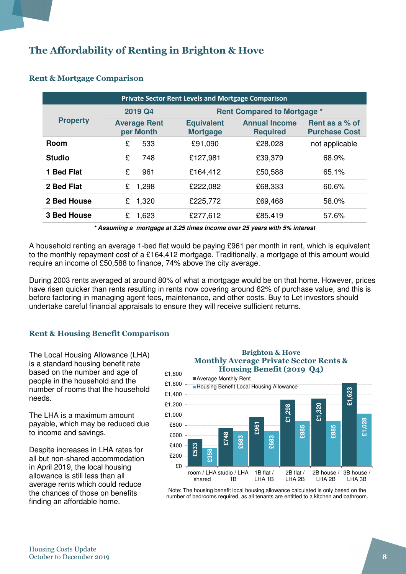### The Affordability of Renting in Brighton & Hove

| <b>Private Sector Rent Levels and Mortgage Comparison</b> |                                  |                                      |                                         |                                        |  |  |  |  |
|-----------------------------------------------------------|----------------------------------|--------------------------------------|-----------------------------------------|----------------------------------------|--|--|--|--|
|                                                           | 2019 Q4                          |                                      | <b>Rent Compared to Mortgage *</b>      |                                        |  |  |  |  |
| <b>Property</b>                                           | <b>Average Rent</b><br>per Month | <b>Equivalent</b><br><b>Mortgage</b> | <b>Annual Income</b><br><b>Required</b> | Rent as a % of<br><b>Purchase Cost</b> |  |  |  |  |
| <b>Room</b>                                               | 533<br>£                         | £91,090                              | £28,028                                 | not applicable                         |  |  |  |  |
| <b>Studio</b>                                             | £<br>748                         | £127,981                             | £39,379                                 | 68.9%                                  |  |  |  |  |
| 1 Bed Flat                                                | £<br>961                         | £164,412                             | £50,588                                 | 65.1%                                  |  |  |  |  |
| 2 Bed Flat                                                | 1,298<br>£                       | £222,082                             | £68,333                                 | 60.6%                                  |  |  |  |  |
| 2 Bed House                                               | 1,320<br>£                       | £225,772                             | £69,468                                 | 58.0%                                  |  |  |  |  |
| <b>3 Bed House</b>                                        | 1,623<br>£                       | £277,612                             | £85,419                                 | 57.6%                                  |  |  |  |  |

### Rent & Mortgage Comparison

**\* Assuming a mortgage at 3.25 times income over 25 years with 5% interest** 

A household renting an average 1-bed flat would be paying £961 per month in rent, which is equivalent to the monthly repayment cost of a £164,412 mortgage. Traditionally, a mortgage of this amount would require an income of £50,588 to finance, 74% above the city average.

During 2003 rents averaged at around 80% of what a mortgage would be on that home. However, prices have risen quicker than rents resulting in rents now covering around 62% of purchase value, and this is before factoring in managing agent fees, maintenance, and other costs. Buy to Let investors should undertake careful financial appraisals to ensure they will receive sufficient returns.

### Rent & Housing Benefit Comparison

The Local Housing Allowance (LHA) is a standard housing benefit rate based on the number and age of people in the household and the number of rooms that the household needs.

The LHA is a maximum amount payable, which may be reduced due to income and savings.

Despite increases in LHA rates for all but non-shared accommodation in April 2019, the local housing allowance is still less than all average rents which could reduce the chances of those on benefits finding an affordable home.

### Brighton & Hove Monthly Average Private Sector Rents & Housing Benefit (2019 Q4) ■ Average Monthly Rent



Note: The housing benefit local housing allowance calculated is only based on the number of bedrooms required, as all tenants are entitled to a kitchen and bathroom.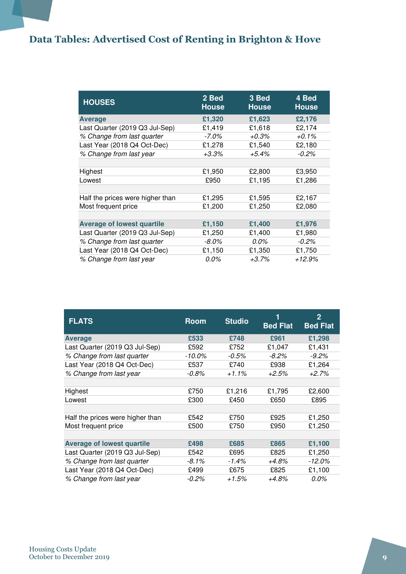# Data Tables: Advertised Cost of Renting in Brighton & Hove

| <b>HOUSES</b>                     | 2 Bed<br><b>House</b> | 3 Bed<br><b>House</b> | 4 Bed<br><b>House</b> |
|-----------------------------------|-----------------------|-----------------------|-----------------------|
| <b>Average</b>                    | £1,320                | £1,623                | £2,176                |
| Last Quarter (2019 Q3 Jul-Sep)    | £1,419                | £1,618                | £2,174                |
| % Change from last quarter        | -7.0%                 | $+0.3%$               | $+0.1\%$              |
| Last Year (2018 Q4 Oct-Dec)       | £1,278                | £1,540                | £2,180                |
| % Change from last year           | $+3.3%$               | $+5.4%$               | $-0.2%$               |
|                                   |                       |                       |                       |
| Highest                           | £1,950                | £2,800                | £3,950                |
| Lowest                            | £950                  | £1,195                | £1,286                |
|                                   |                       |                       |                       |
| Half the prices were higher than  | £1,295                | £1,595                | £2,167                |
| Most frequent price               | £1,200                | £1,250                | £2,080                |
|                                   |                       |                       |                       |
| <b>Average of lowest quartile</b> | £1,150                | £1,400                | £1,976                |
| Last Quarter (2019 Q3 Jul-Sep)    | £1,250                | £1,400                | £1,980                |
| % Change from last quarter        | $-8.0\%$              | 0.0%                  | $-0.2%$               |
| Last Year (2018 Q4 Oct-Dec)       | £1,150                | £1,350                | £1,750                |
| % Change from last year           | $0.0\%$               | $+3.7%$               | $+12.9%$              |

| <b>FLATS</b>                      | <b>Room</b> | <b>Studio</b> | <b>Bed Flat</b> | $\mathbf{2}$<br><b>Bed Flat</b> |
|-----------------------------------|-------------|---------------|-----------------|---------------------------------|
| <b>Average</b>                    | £533        | £748          | £961            | £1,298                          |
| Last Quarter (2019 Q3 Jul-Sep)    | £592        | £752          | £1,047          | £1,431                          |
| % Change from last quarter        | -10.0%      | $-0.5\%$      | $-8.2\%$        | $-9.2\%$                        |
| Last Year (2018 Q4 Oct-Dec)       | £537        | £740          | £938            | £1,264                          |
| % Change from last year           | $-0.8\%$    | $+1.1%$       | $+2.5%$         | +2.7%                           |
|                                   |             |               |                 |                                 |
| Highest                           | £750        | £1,216        | £1,795          | £2,600                          |
| Lowest                            | £300        | £450          | £650            | £895                            |
|                                   |             |               |                 |                                 |
| Half the prices were higher than  | £542        | £750          | £925            | £1,250                          |
| Most frequent price               | £500        | £750          | £950            | £1,250                          |
|                                   |             |               |                 |                                 |
| <b>Average of lowest quartile</b> | £498        | £685          | £865            | £1,100                          |
| Last Quarter (2019 Q3 Jul-Sep)    | £542        | £695          | £825            | £1,250                          |
| % Change from last quarter        | -8.1%       | $-1.4\%$      | +4.8%           | $-12.0\%$                       |
| Last Year (2018 Q4 Oct-Dec)       | £499        | £675          | £825            | £1,100                          |
| % Change from last year           | $-0.2\%$    | $+1.5%$       | $+4.8%$         | $0.0\%$                         |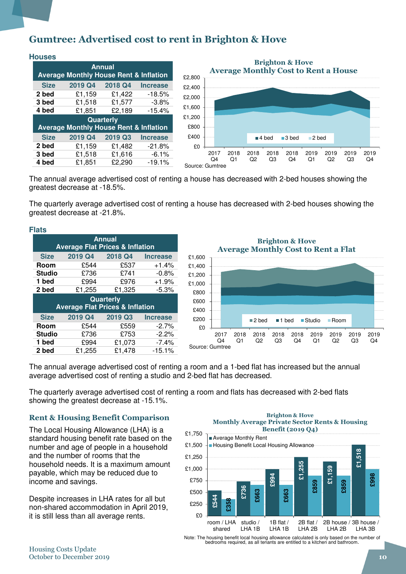### Gumtree: Advertised cost to rent in Brighton & Hove

| <b>Houses</b> |                                                   |         |                 |  |  |  |
|---------------|---------------------------------------------------|---------|-----------------|--|--|--|
|               | <b>Average Monthly House Rent &amp; Inflation</b> | Annual  |                 |  |  |  |
| <b>Size</b>   | 2019 Q4                                           | 2018 Q4 | <b>Increase</b> |  |  |  |
| 2 bed         | £1,159                                            | £1,422  | $-18.5%$        |  |  |  |
| 3 bed         | £1,518                                            | £1,577  | $-3.8%$         |  |  |  |
| 4 bed         | £1,851                                            | £2,189  | $-15.4%$        |  |  |  |
| Quarterly     |                                                   |         |                 |  |  |  |
|               | <b>Average Monthly House Rent &amp; Inflation</b> |         |                 |  |  |  |
| <b>Size</b>   | 2019 Q4                                           | 2019 Q3 | <b>Increase</b> |  |  |  |
| 2 bed         | £1,159                                            | £1,482  | $-21.8%$        |  |  |  |
| 3 bed         | £1,518                                            | £1,616  | $-6.1%$         |  |  |  |
| 4 bed         | £1,851                                            | £2,290  | $-19.1%$        |  |  |  |



The annual average advertised cost of renting a house has decreased with 2-bed houses showing the greatest decrease at -18.5%.

The quarterly average advertised cost of renting a house has decreased with 2-bed houses showing the greatest decrease at -21.8%.

|  | . .<br>۰,<br>÷<br>٠ |
|--|---------------------|
|--|---------------------|

| <b>Annual</b><br><b>Average Flat Prices &amp; Inflation</b> |                                            |                  |                 |  |  |  |  |  |
|-------------------------------------------------------------|--------------------------------------------|------------------|-----------------|--|--|--|--|--|
| <b>Size</b>                                                 | 2019 Q4                                    | 2018 Q4          | <b>Increase</b> |  |  |  |  |  |
| Room                                                        | £544                                       | £537             | $+1.4%$         |  |  |  |  |  |
| <b>Studio</b>                                               | £736                                       | £741             | $-0.8%$         |  |  |  |  |  |
| 1 bed                                                       | £994                                       | £976             | $+1.9%$         |  |  |  |  |  |
| 2 bed                                                       | £1,255                                     | £1,325           | $-5.3%$         |  |  |  |  |  |
|                                                             |                                            |                  |                 |  |  |  |  |  |
|                                                             | <b>Average Flat Prices &amp; Inflation</b> | <b>Quarterly</b> |                 |  |  |  |  |  |
| <b>Size</b>                                                 | 2019 Q4                                    | 2019 Q3          | <b>Increase</b> |  |  |  |  |  |
| Room                                                        | £544                                       | £559             | $-2.7%$         |  |  |  |  |  |
| <b>Studio</b>                                               | £736                                       | £753             | $-2.2%$         |  |  |  |  |  |
| 1 bed                                                       | £994                                       | £1,073           | $-7.4%$         |  |  |  |  |  |

£0 £200 £400 £600 £800 £1,000 £1,200 £1,400 £1,600 2017  $Q<sub>4</sub>$ 2018  $Q<sub>1</sub>$ 2018  $Q<sub>2</sub>$ 2018 Q3 2018  $Q<sub>4</sub>$ 2019  $Q1$ 2019  $Q<sub>2</sub>$ 2019 Q3 2019  $Q<sub>4</sub>$ Brighton & Hove Average Monthly Cost to Rent a Flat 2 bed 1 bed Studio Room Source: Gumtree

The annual average advertised cost of renting a room and a 1-bed flat has increased but the annual average advertised cost of renting a studio and 2-bed flat has decreased.

The quarterly average advertised cost of renting a room and flats has decreased with 2-bed flats showing the greatest decrease at -15.1%.

### Rent & Housing Benefit Comparison

The Local Housing Allowance (LHA) is a standard housing benefit rate based on the number and age of people in a household and the number of rooms that the household needs. It is a maximum amount payable, which may be reduced due to income and savings.

Despite increases in LHA rates for all but non-shared accommodation in April 2019, it is still less than all average rents.

#### Brighton & Hove Monthly Average Private Sector Rents & Housing Benefit (2019 Q4)



Note: The housing benefit local housing allowance calculated is only based on the number of bedrooms required, as all tenants are entitled to a kitchen and bathroom.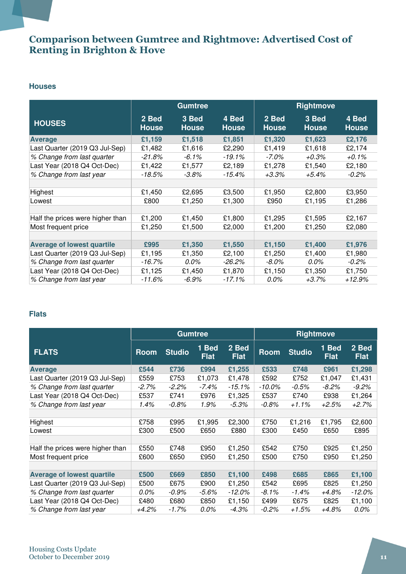### Comparison between Gumtree and Rightmove: Advertised Cost of Renting in Brighton & Hove

### **Houses**

|                                   | <b>Gumtree</b>        |                       |                       | <b>Rightmove</b>      |                       |                       |  |
|-----------------------------------|-----------------------|-----------------------|-----------------------|-----------------------|-----------------------|-----------------------|--|
| <b>HOUSES</b>                     | 2 Bed<br><b>House</b> | 3 Bed<br><b>House</b> | 4 Bed<br><b>House</b> | 2 Bed<br><b>House</b> | 3 Bed<br><b>House</b> | 4 Bed<br><b>House</b> |  |
| <b>Average</b>                    | £1,159                | £1,518                | £1,851                | £1,320                | £1,623                | £2,176                |  |
| Last Quarter (2019 Q3 Jul-Sep)    | £1,482                | £1,616                | £2,290                | £1,419                | £1,618                | £2,174                |  |
| % Change from last quarter        | $-21.8%$              | -6.1%                 | -19.1%                | -7.0%                 | $+0.3\%$              | +0.1%                 |  |
| Last Year (2018 Q4 Oct-Dec)       | £1,422                | £1,577                | £2,189                | £1,278                | £1,540                | £2,180                |  |
| % Change from last year           | $-18.5%$              | $-3.8\%$              | -15.4%                | $+3.3%$               | $+5.4\%$              | $-0.2\%$              |  |
|                                   |                       |                       |                       |                       |                       |                       |  |
| Highest                           | £1,450                | £2,695                | £3,500                | £1,950                | £2,800                | £3,950                |  |
| Lowest                            | £800                  | £1,250                | £1,300                | £950                  | £1,195                | £1,286                |  |
|                                   |                       |                       |                       |                       |                       |                       |  |
| Half the prices were higher than  | £1,200                | £1,450                | £1,800                | £1,295                | £1,595                | £2,167                |  |
| Most frequent price               | £1,250                | £1,500                | £2,000                | £1,200                | £1,250                | £2,080                |  |
|                                   |                       |                       |                       |                       |                       |                       |  |
| <b>Average of lowest quartile</b> | £995                  | £1,350                | £1,550                | £1,150                | £1,400                | £1,976                |  |
| Last Quarter (2019 Q3 Jul-Sep)    | £1,195                | £1,350                | £2,100                | £1,250                | £1,400                | £1,980                |  |
| % Change from last quarter        | $-16.7%$              | $0.0\%$               | $-26.2\%$             | $-8.0\%$              | $0.0\%$               | $-0.2\%$              |  |
| Last Year (2018 Q4 Oct-Dec)       | £1,125                | £1,450                | £1,870                | £1,150                | £1,350                | £1,750                |  |
| % Change from last year           | $-11.6%$              | -6.9%                 | $-17.1%$              | 0.0%                  | $+3.7%$               | $+12.9%$              |  |

### **Flats**

|                                   | <b>Gumtree</b> |               |                      |                      | <b>Rightmove</b> |               |                      |                      |
|-----------------------------------|----------------|---------------|----------------------|----------------------|------------------|---------------|----------------------|----------------------|
| <b>FLATS</b>                      | Room           | <b>Studio</b> | 1 Bed<br><b>Flat</b> | 2 Bed<br><b>Flat</b> | Room             | <b>Studio</b> | 1 Bed<br><b>Flat</b> | 2 Bed<br><b>Flat</b> |
| <b>Average</b>                    | £544           | £736          | £994                 | £1,255               | £533             | £748          | £961                 | £1,298               |
| Last Quarter (2019 Q3 Jul-Sep)    | £559           | £753          | £1,073               | £1,478               | £592             | £752          | £1,047               | £1,431               |
| % Change from last quarter        | $-2.7\%$       | -2.2%         | -7.4%                | $-15.1%$             | -10.0%           | $-0.5\%$      | -8.2%                | $-9.2%$              |
| Last Year (2018 Q4 Oct-Dec)       | £537           | £741          | £976                 | £1,325               | £537             | £740          | £938                 | £1,264               |
| % Change from last year           | 1.4%           | -0.8%         | 1.9%                 | $-5.3\%$             | -0.8%            | $+1.1\%$      | +2.5%                | +2.7%                |
|                                   |                |               |                      |                      |                  |               |                      |                      |
| Highest                           | £758           | £995          | £1,995               | £2,300               | £750             | £1,216        | £1,795               | £2,600               |
| Lowest                            | £300           | £500          | £650                 | £880                 | £300             | £450          | £650                 | £895                 |
|                                   |                |               |                      |                      |                  |               |                      |                      |
| Half the prices were higher than  | £550           | £748          | £950                 | £1,250               | £542             | £750          | £925                 | £1,250               |
| Most frequent price               | £600           | £650          | £950                 | £1,250               | £500             | £750          | £950                 | £1,250               |
|                                   |                |               |                      |                      |                  |               |                      |                      |
| <b>Average of lowest quartile</b> | £500           | £669          | £850                 | £1,100               | £498             | £685          | £865                 | £1,100               |
| Last Quarter (2019 Q3 Jul-Sep)    | £500           | £675          | £900                 | £1,250               | £542             | £695          | £825                 | £1,250               |
| % Change from last quarter        | 0.0%           | -0.9%         | $-5.6\%$             | -12.0%               | -8.1%            | $-1.4%$       | +4.8%                | -12.0%               |
| Last Year (2018 Q4 Oct-Dec)       | £480           | £680          | £850                 | £1,150               | £499             | £675          | £825                 | £1,100               |
| % Change from last year           | +4.2%          | -1.7%         | 0.0%                 | -4.3%                | -0.2%            | +1.5%         | +4.8%                | 0.0%                 |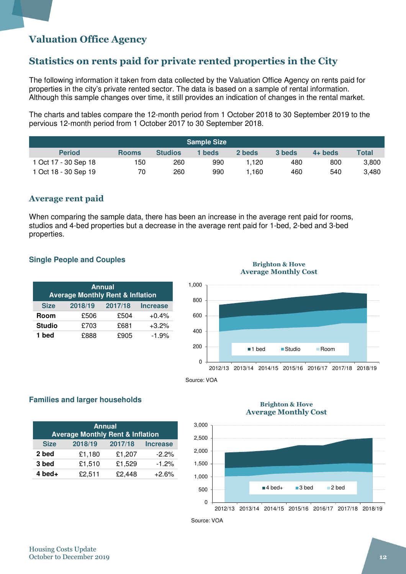### Valuation Office Agency

### Statistics on rents paid for private rented properties in the City

The following information it taken from data collected by the Valuation Office Agency on rents paid for properties in the city's private rented sector. The data is based on a sample of rental information. Although this sample changes over time, it still provides an indication of changes in the rental market.

The charts and tables compare the 12-month period from 1 October 2018 to 30 September 2019 to the pervious 12-month period from 1 October 2017 to 30 September 2018.

| <b>Sample Size</b>   |              |                |        |        |        |           |              |  |
|----------------------|--------------|----------------|--------|--------|--------|-----------|--------------|--|
| <b>Period</b>        | <b>Rooms</b> | <b>Studios</b> | 1 beds | 2 beds | 3 beds | $4+$ beds | <b>Total</b> |  |
| 1 Oct 17 - 30 Sep 18 | 150          | 260            | 990    | .120   | 480    | 800       | 3,800        |  |
| 1 Oct 18 - 30 Sep 19 | 70           | 260            | 990    | .160   | 460    | 540       | 3,480        |  |

### Average rent paid

When comparing the sample data, there has been an increase in the average rent paid for rooms, studios and 4-bed properties but a decrease in the average rent paid for 1-bed, 2-bed and 3-bed properties.

### **Single People and Couples**

| <b>Annual</b><br><b>Average Monthly Rent &amp; Inflation</b> |         |         |                 |  |  |  |  |
|--------------------------------------------------------------|---------|---------|-----------------|--|--|--|--|
| <b>Size</b>                                                  | 2018/19 | 2017/18 | <b>Increase</b> |  |  |  |  |
| Room                                                         | £506    | £504    | $+0.4%$         |  |  |  |  |
| <b>Studio</b>                                                | £703    | £681    | $+3.2%$         |  |  |  |  |
| 1 bed                                                        | £888    | £905    | $-1.9%$         |  |  |  |  |

#### Brighton & Hove Average Monthly Cost



### **Families and larger households**

| <b>Annual</b><br><b>Average Monthly Rent &amp; Inflation</b> |         |         |                 |  |  |  |  |
|--------------------------------------------------------------|---------|---------|-----------------|--|--|--|--|
| <b>Size</b>                                                  | 2018/19 | 2017/18 | <b>Increase</b> |  |  |  |  |
| 2 bed                                                        | £1,180  | £1,207  | $-2.2%$         |  |  |  |  |
| 3 bed                                                        | £1,510  | £1,529  | $-1.2%$         |  |  |  |  |
| $4$ bed+                                                     | £2,511  | £2,448  | $+2.6%$         |  |  |  |  |

#### Brighton & Hove Average Monthly Cost



Source: VOA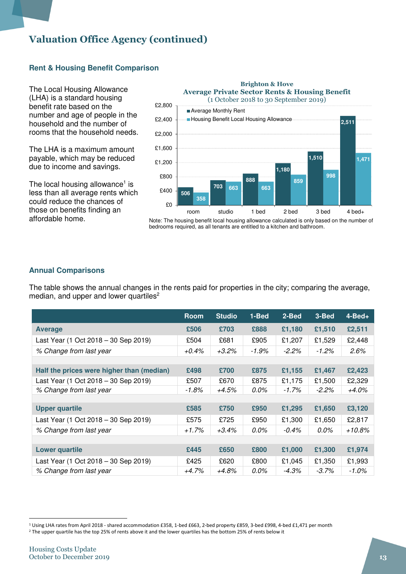### Valuation Office Agency (continued)

### **Rent & Housing Benefit Comparison**

The Local Housing Allowance (LHA) is a standard housing benefit rate based on the number and age of people in the household and the number of rooms that the household needs.

The LHA is a maximum amount payable, which may be reduced due to income and savings.

The local housing allowance<sup>1</sup> is less than all average rents which could reduce the chances of those on benefits finding an affordable home.



Note: The housing benefit local housing allowance calculated is only based on the number of bedrooms required, as all tenants are entitled to a kitchen and bathroom.

### **Annual Comparisons**

The table shows the annual changes in the rents paid for properties in the city; comparing the average, median, and upper and lower quartiles<sup>2</sup>

|                                           | <b>Room</b> | <b>Studio</b> | 1-Bed    | 2-Bed    | 3-Bed    | $4 - Bed +$ |
|-------------------------------------------|-------------|---------------|----------|----------|----------|-------------|
| <b>Average</b>                            | £506        | £703          | £888     | £1,180   | £1,510   | £2,511      |
| Last Year (1 Oct 2018 - 30 Sep 2019)      | £504        | £681          | £905     | £1,207   | £1,529   | £2,448      |
| % Change from last year                   | $+0.4\%$    | $+3.2\%$      | $-1.9\%$ | $-2.2\%$ | $-1.2\%$ | $2.6\%$     |
|                                           |             |               |          |          |          |             |
| Half the prices were higher than (median) | £498        | £700          | £875     | £1,155   | £1,467   | £2,423      |
| Last Year (1 Oct 2018 – 30 Sep 2019)      | £507        | £670          | £875     | £1,175   | £1,500   | £2,329      |
| % Change from last year                   | $-1.8\%$    | +4.5%         | 0.0%     | -1.7%    | $-2.2\%$ | $+4.0\%$    |
|                                           |             |               |          |          |          |             |
| <b>Upper quartile</b>                     | £585        | £750          | £950     | £1,295   | £1,650   | £3,120      |
| Last Year (1 Oct 2018 – 30 Sep 2019)      | £575        | £725          | £950     | £1,300   | £1,650   | £2,817      |
| % Change from last year                   | $+1.7%$     | $+3.4\%$      | 0.0%     | $-0.4\%$ | $0.0\%$  | +10.8%      |
|                                           |             |               |          |          |          |             |
| <b>Lower quartile</b>                     | £445        | £650          | £800     | £1,000   | £1,300   | £1,974      |
| Last Year (1 Oct 2018 - 30 Sep 2019)      | £425        | £620          | £800     | £1,045   | £1,350   | £1,993      |
| % Change from last year                   | $+4.7%$     | +4.8%         | 0.0%     | $-4.3\%$ | $-3.7\%$ | $-1.0\%$    |

l

<sup>1</sup> Using LHA rates from April 2018 - shared accommodation £358, 1-bed £663, 2-bed property £859, 3-bed £998, 4-bed £1,471 per month

<sup>&</sup>lt;sup>2</sup> The upper quartile has the top 25% of rents above it and the lower quartiles has the bottom 25% of rents below it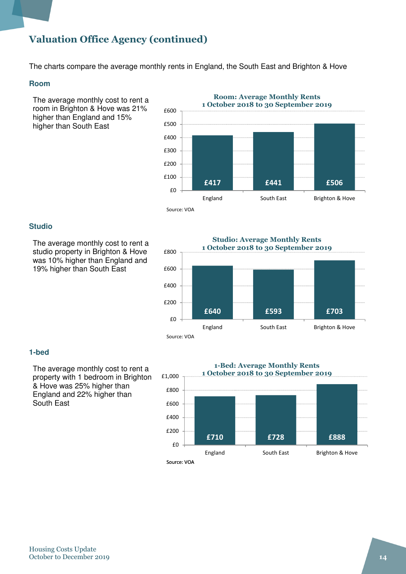### Valuation Office Agency (continued)

The charts compare the average monthly rents in England, the South East and Brighton & Hove

### **Room**

The average monthly cost to rent a room in Brighton & Hove was 21% higher than England and 15% higher than South East



### **Studio**

The average monthly cost to rent a studio property in Brighton & Hove was 10% higher than England and 19% higher than South East



### **1-bed**

The average monthly cost to rent a property with 1 bedroom in Brighton & Hove was 25% higher than England and 22% higher than South East

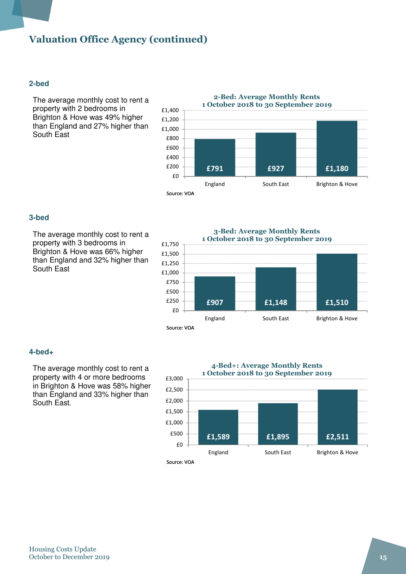### Valuation Office Agency (continued)

### **2-bed**

The average monthly cost to rent a property with 2 bedrooms in Brighton & Hove was 49% higher than England and 27% higher than South East



#### **3-bed**

The average monthly cost to rent a property with 3 bedrooms in Brighton & Hove was 66% higher than England and 32% higher than South East

#### 3-Bed: Average Monthly Rents 1 October 2018 to 30 September 2019



#### **4-bed+**

The average monthly cost to rent a property with 4 or more bedrooms in Brighton & Hove was 58% higher than England and 33% higher than South East.

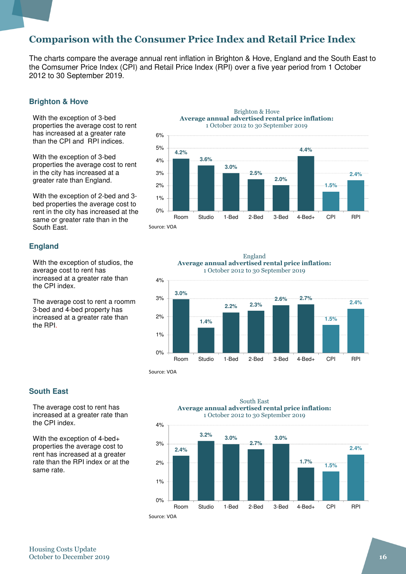### Comparison with the Consumer Price Index and Retail Price Index

0% 1%

The charts compare the average annual rent inflation in Brighton & Hove, England and the South East to the Comsumer Price Index (CPI) and Retail Price Index (RPI) over a five year period from 1 October 2012 to 30 September 2019.

#### **Brighton & Hove**

With the exception of 3-bed properties the average cost to rent has increased at a greater rate than the CPI and RPI indices.

With the exception of 3-bed properties the average cost to rent in the city has increased at a greater rate than England.

With the exception of 2-bed and 3 bed properties the average cost to rent in the city has increased at the same or greater rate than in the South East.

#### **England**

With the exception of studios, the average cost to rent has increased at a greater rate than the CPI index.

The average cost to rent a roomm 3-bed and 4-bed property has increased at a greater rate than the RPI.



Room Studio 1-Bed 2-Bed 3-Bed 4-Bed+ CPI RPI Source: VOA





#### **South East**

The average cost to rent has increased at a greater rate than the CPI index.

With the exception of 4-bed+ properties the average cost to rent has increased at a greater rate than the RPI index or at the same rate.



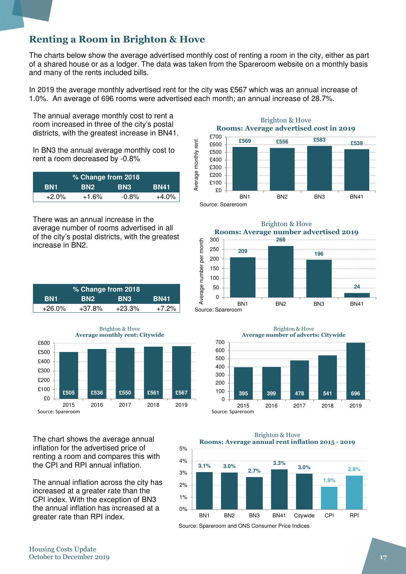### Renting a Room in Brighton & Hove

The charts below show the average advertised monthly cost of renting a room in the city, either as part of a shared house or as a lodger. The data was taken from the Spareroom website on a monthly basis and many of the rents included bills.

In 2019 the average monthly advertised rent for the city was £567 which was an annual increase of 1.0%. An average of 696 rooms were advertised each month; an annual increase of 28.7%.

The annual average monthly cost to rent a room increased in three of the city's postal districts, with the greatest increase in BN41.

In BN3 the annual average monthly cost to rent a room decreased by -0.8%

| % Change from 2018 |                 |            |             |  |  |
|--------------------|-----------------|------------|-------------|--|--|
| BN1                | BN <sub>2</sub> | <b>BN3</b> | <b>BN41</b> |  |  |
| $+2.0\%$           | $+1.6%$         | $-0.8%$    | $+4.0%$     |  |  |

There was an annual increase in the average number of rooms advertised in all of the city's postal districts, with the greatest increase in BN2.

| % Change from 2018 |                 |            |             |  |
|--------------------|-----------------|------------|-------------|--|
| BN1                | BN <sub>2</sub> | <b>BN3</b> | <b>BN41</b> |  |
| +26.0%             | $+37.8%$        | $+23.3%$   | $+7.2\%$    |  |



The chart shows the average annual inflation for the advertised price of renting a room and compares this with the CPI and RPI annual inflation.

The annual inflation across the city has increased at a greater rate than the CPI index. With the exception of BN3 the annual inflation has increased at a greater rate than RPI index.

Brighton & Hove Rooms: Average advertised cost in 2019







Brighton & Hove Rooms: Average annual rent inflation 2015 - 2019



Source: Spareroom and ONS Consumer Price Indices

5%